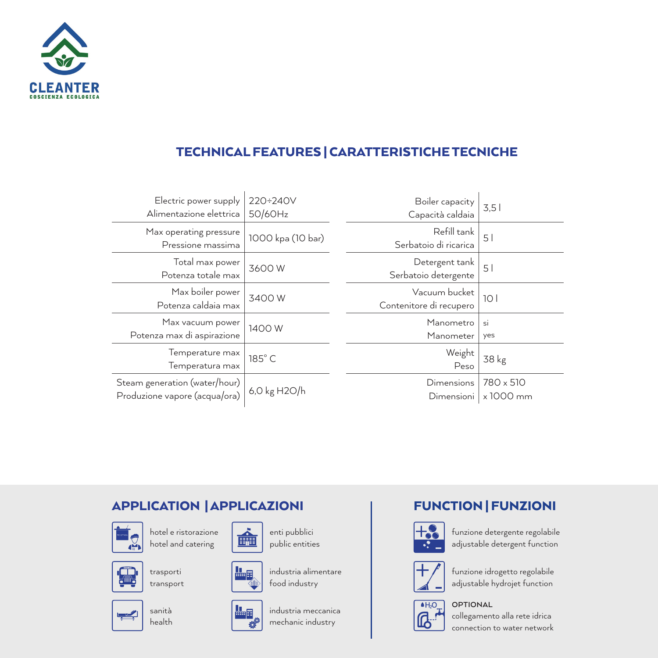

### TECHNICAL FEATURES | CARATTERISTICHE TECNICHE

| Electric power supply<br>Alimentazione elettrica               | 220÷240V<br>50/60Hz | Boiler capacity<br>Capacità caldaia      | 3,5                    |
|----------------------------------------------------------------|---------------------|------------------------------------------|------------------------|
| Max operating pressure<br>Pressione massima                    | 1000 kpa (10 bar)   | Refill tank<br>Serbatoio di ricarica     | 51                     |
| Total max power<br>Potenza totale max                          | 3600W               | Detergent tank<br>Serbatoio detergente   | 51                     |
| Max boiler power<br>Potenza caldaia max                        | 3400W               | Vacuum bucket<br>Contenitore di recupero | 101                    |
| Max vacuum power<br>Potenza max di aspirazione                 | 1400 W              | Manometro<br>Manometer                   | si<br>yes              |
| Temperature max<br>Temperatura max                             | 185°C               | Weight<br>Peso                           | 38 kg                  |
| Steam generation (water/hour)<br>Produzione vapore (acqua/ora) | 6,0 kg H2O/h        | Dimensions<br>Dimensioni                 | 780 x 510<br>x 1000 mm |

### APPLICATION | APPLICAZIONI



hotel e ristorazione hotel and catering



trasporti transport



sanità health



enti pubblici public entities



industria alimentare food industry



industria meccanica mechanic industry

### FUNCTION | FUNZIONI



funzione detergente regolabile adjustable detergent function



funzione idrogetto regolabile adjustable hydrojet function



**OPTIONAL**

collegamento alla rete idrica connection to water network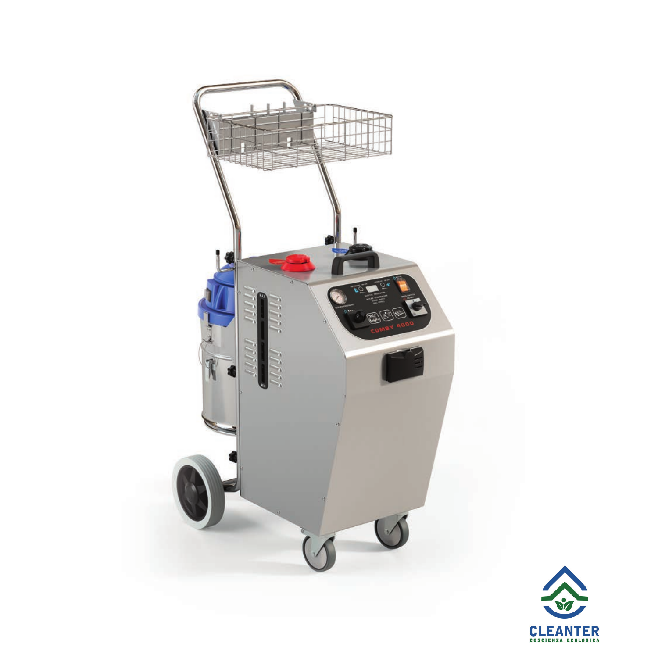

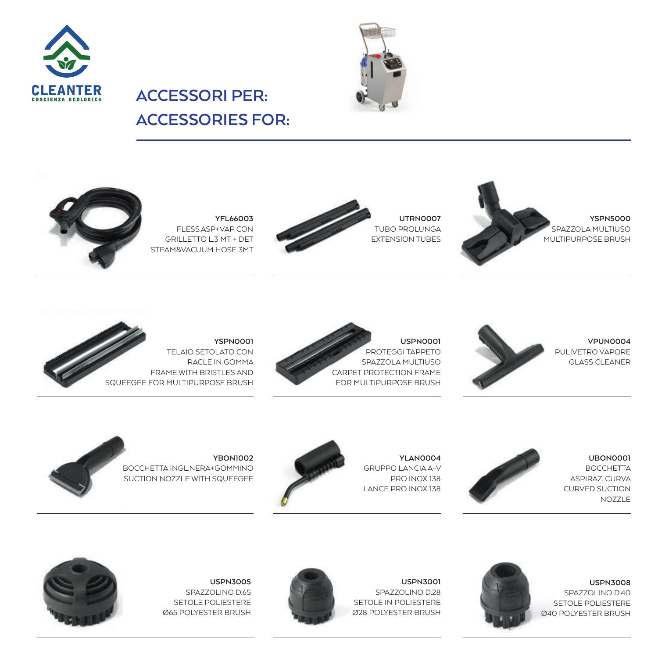



# **ACCESSORIES FOR:**

**ACCESSORI PER:**



**YFL66003** FLESS.ASP+VAP CON GRILLETTO L.3 MT + DET STEAM&VACUUM HOSE 3MT



**UTRN0007** TUBO PROLUNGA EXTENSION TUBES





**YSPN0001** TELAIO SETOLATO CON RACLE IN GOMMA FRAME WITH BRISTLES AND SQUEEGEE FOR MULTIPURPOSE BRUSH





**UBON0001 BOCCHETTA** ASPIRAZ. CURVA CURVED SUCTION NOZZLE

**USPN3008** SPAZZOLINO D.40



GRUPPO LANCIA A-V LANCE PRO INOX 138





**USPN3001** SPAZZOLINO D.28 SETOLE IN POLIESTERE Ø28 POLYESTER BRUSH

**YLAN0004**

PRO INOX 138



**USPN3005** SPAZZOLINO D.65 SETOLE POLIESTERE Ø65 POLYESTER BRUSH